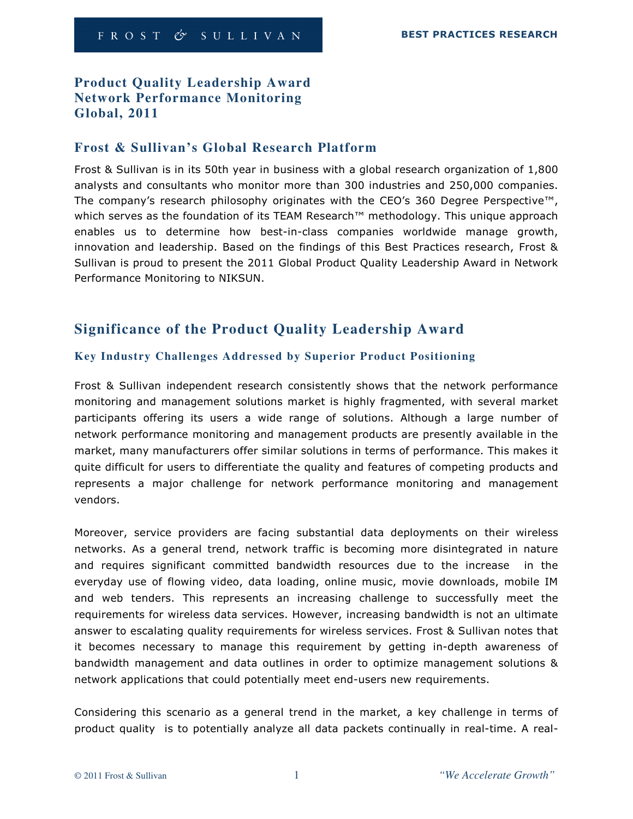# **Product Quality Leadership Award Network Performance Monitoring Global, 2011**

## **Frost & Sullivan's Global Research Platform**

Frost & Sullivan is in its 50th year in business with a global research organization of 1,800 analysts and consultants who monitor more than 300 industries and 250,000 companies. The company's research philosophy originates with the CEO's 360 Degree Perspective™, which serves as the foundation of its TEAM Research™ methodology. This unique approach enables us to determine how best-in-class companies worldwide manage growth, innovation and leadership. Based on the findings of this Best Practices research, Frost & Sullivan is proud to present the 2011 Global Product Quality Leadership Award in Network Performance Monitoring to NIKSUN.

# **Significance of the Product Quality Leadership Award**

## **Key Industry Challenges Addressed by Superior Product Positioning**

Frost & Sullivan independent research consistently shows that the network performance monitoring and management solutions market is highly fragmented, with several market participants offering its users a wide range of solutions. Although a large number of network performance monitoring and management products are presently available in the market, many manufacturers offer similar solutions in terms of performance. This makes it quite difficult for users to differentiate the quality and features of competing products and represents a major challenge for network performance monitoring and management vendors.

Moreover, service providers are facing substantial data deployments on their wireless networks. As a general trend, network traffic is becoming more disintegrated in nature and requires significant committed bandwidth resources due to the increase in the everyday use of flowing video, data loading, online music, movie downloads, mobile IM and web tenders. This represents an increasing challenge to successfully meet the requirements for wireless data services. However, increasing bandwidth is not an ultimate answer to escalating quality requirements for wireless services. Frost & Sullivan notes that it becomes necessary to manage this requirement by getting in-depth awareness of bandwidth management and data outlines in order to optimize management solutions & network applications that could potentially meet end-users new requirements.

Considering this scenario as a general trend in the market, a key challenge in terms of product quality is to potentially analyze all data packets continually in real-time. A real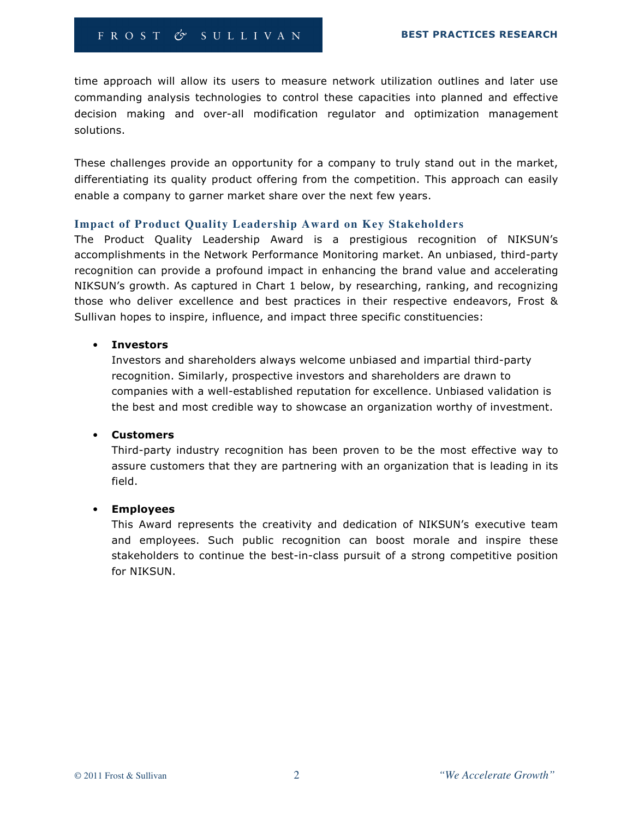time approach will allow its users to measure network utilization outlines and later use commanding analysis technologies to control these capacities into planned and effective decision making and over-all modification regulator and optimization management solutions.

These challenges provide an opportunity for a company to truly stand out in the market, differentiating its quality product offering from the competition. This approach can easily enable a company to garner market share over the next few years.

#### **Impact of Product Quality Leadership Award on Key Stakeholders**

The Product Quality Leadership Award is a prestigious recognition of NIKSUN's accomplishments in the Network Performance Monitoring market. An unbiased, third-party recognition can provide a profound impact in enhancing the brand value and accelerating NIKSUN's growth. As captured in Chart 1 below, by researching, ranking, and recognizing those who deliver excellence and best practices in their respective endeavors, Frost & Sullivan hopes to inspire, influence, and impact three specific constituencies:

#### • Investors

Investors and shareholders always welcome unbiased and impartial third-party recognition. Similarly, prospective investors and shareholders are drawn to companies with a well-established reputation for excellence. Unbiased validation is the best and most credible way to showcase an organization worthy of investment.

#### • Customers

Third-party industry recognition has been proven to be the most effective way to assure customers that they are partnering with an organization that is leading in its field.

#### • Employees

This Award represents the creativity and dedication of NIKSUN's executive team and employees. Such public recognition can boost morale and inspire these stakeholders to continue the best-in-class pursuit of a strong competitive position for NIKSUN.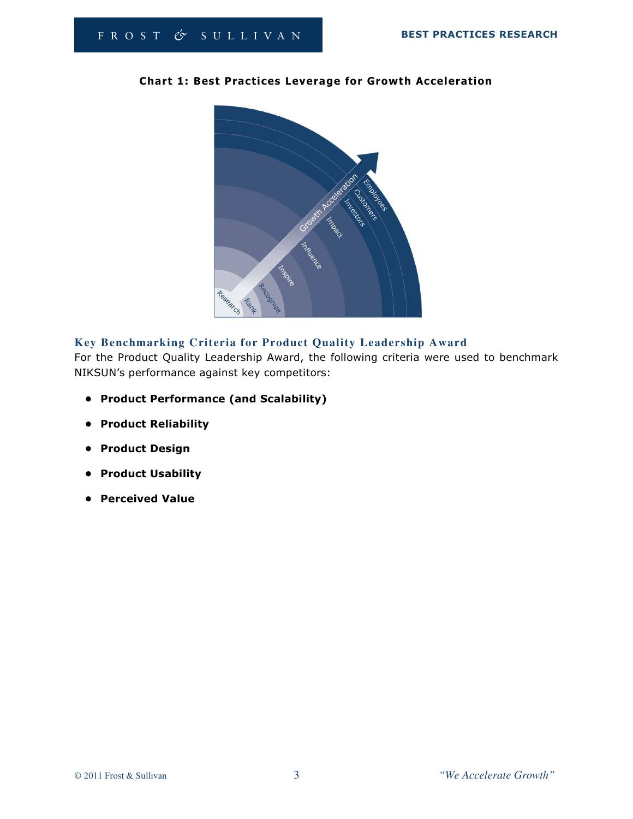

## Chart 1: Best Practices Leverage for Growth Acceleration

## **Key Benchmarking Criteria for Product Quality Leadership Award**

For the Product Quality Leadership Award, the following criteria were used to benchmark NIKSUN's performance against key competitors:

- Product Performance (and Scalability)
- Product Reliability
- Product Design
- Product Usability
- Perceived Value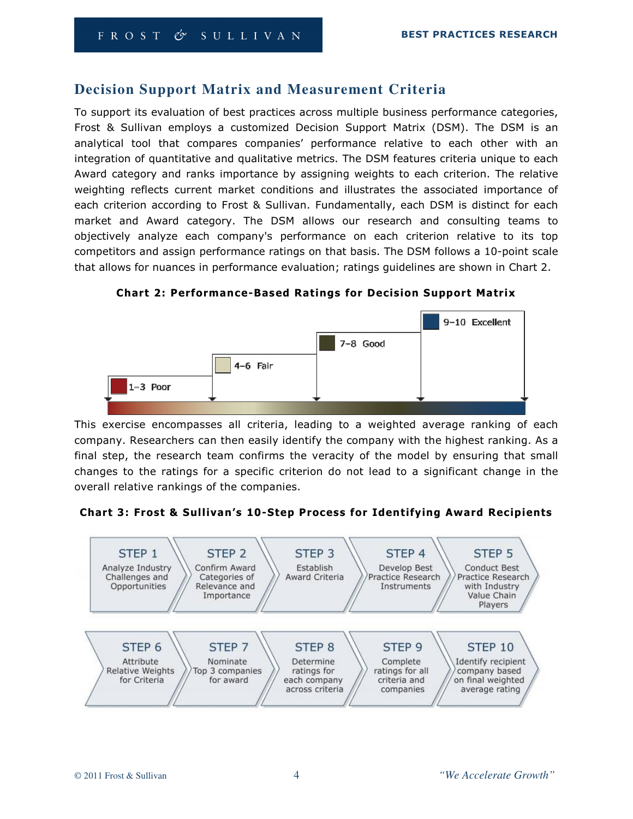# **Decision Support Matrix and Measurement Criteria**

To support its evaluation of best practices across multiple business performance categories, Frost & Sullivan employs a customized Decision Support Matrix (DSM). The DSM is an analytical tool that compares companies' performance relative to each other with an integration of quantitative and qualitative metrics. The DSM features criteria unique to each Award category and ranks importance by assigning weights to each criterion. The relative weighting reflects current market conditions and illustrates the associated importance of each criterion according to Frost & Sullivan. Fundamentally, each DSM is distinct for each market and Award category. The DSM allows our research and consulting teams to objectively analyze each company's performance on each criterion relative to its top competitors and assign performance ratings on that basis. The DSM follows a 10-point scale that allows for nuances in performance evaluation; ratings guidelines are shown in Chart 2.

Chart 2: Performance-Based Ratings for Decision Support Matrix



This exercise encompasses all criteria, leading to a weighted average ranking of each company. Researchers can then easily identify the company with the highest ranking. As a final step, the research team confirms the veracity of the model by ensuring that small changes to the ratings for a specific criterion do not lead to a significant change in the overall relative rankings of the companies.



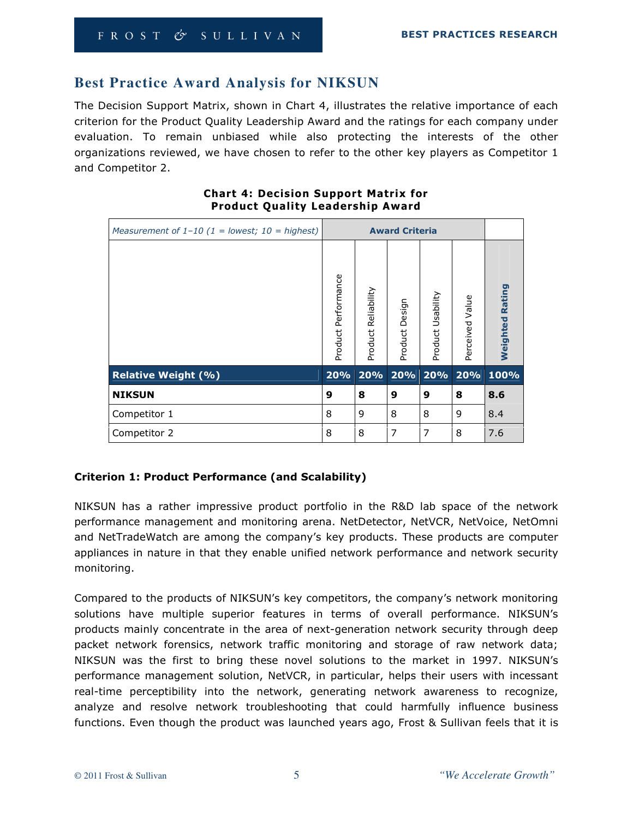# **Best Practice Award Analysis for NIKSUN**

The Decision Support Matrix, shown in Chart 4, illustrates the relative importance of each criterion for the Product Quality Leadership Award and the ratings for each company under evaluation. To remain unbiased while also protecting the interests of the other organizations reviewed, we have chosen to refer to the other key players as Competitor 1 and Competitor 2.

| Measurement of $1-10$ (1 = lowest; 10 = highest) | <b>Award Criteria</b>  |                        |                   |                   |                 |                    |
|--------------------------------------------------|------------------------|------------------------|-------------------|-------------------|-----------------|--------------------|
|                                                  | Performance<br>Product | Reliability<br>Product | Design<br>Product | Product Usability | Perceived Value | Rating<br>Weighted |
| <b>Relative Weight (%)</b>                       | 20%                    | 20%                    | 20%               | 20%               | 20%             | 100%               |
| <b>NIKSUN</b>                                    | 9                      | 8                      | 9                 | 9                 | 8               | 8.6                |
| Competitor 1                                     | 8                      | 9                      | 8                 | 8                 | 9               | 8.4                |
| Competitor 2                                     | 8                      | 8                      | 7                 | 7                 | 8               | 7.6                |

#### Chart 4: Decision Support Matrix for Product Quality Leadership Award

# Criterion 1: Product Performance (and Scalability)

NIKSUN has a rather impressive product portfolio in the R&D lab space of the network performance management and monitoring arena. NetDetector, NetVCR, NetVoice, NetOmni and NetTradeWatch are among the company's key products. These products are computer appliances in nature in that they enable unified network performance and network security monitoring.

Compared to the products of NIKSUN's key competitors, the company's network monitoring solutions have multiple superior features in terms of overall performance. NIKSUN's products mainly concentrate in the area of next-generation network security through deep packet network forensics, network traffic monitoring and storage of raw network data; NIKSUN was the first to bring these novel solutions to the market in 1997. NIKSUN's performance management solution, NetVCR, in particular, helps their users with incessant real-time perceptibility into the network, generating network awareness to recognize, analyze and resolve network troubleshooting that could harmfully influence business functions. Even though the product was launched years ago, Frost & Sullivan feels that it is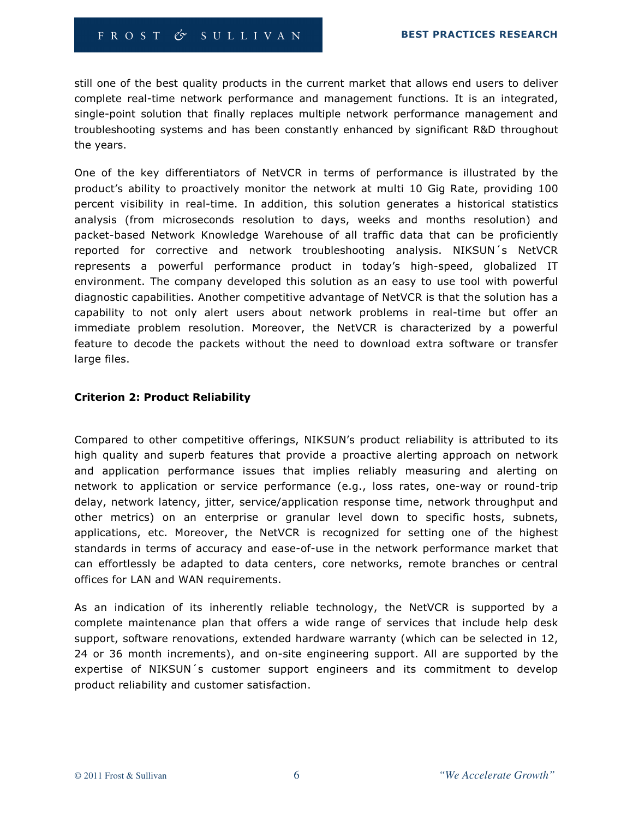still one of the best quality products in the current market that allows end users to deliver complete real-time network performance and management functions. It is an integrated, single-point solution that finally replaces multiple network performance management and troubleshooting systems and has been constantly enhanced by significant R&D throughout the years.

One of the key differentiators of NetVCR in terms of performance is illustrated by the product's ability to proactively monitor the network at multi 10 Gig Rate, providing 100 percent visibility in real-time. In addition, this solution generates a historical statistics analysis (from microseconds resolution to days, weeks and months resolution) and packet-based Network Knowledge Warehouse of all traffic data that can be proficiently reported for corrective and network troubleshooting analysis. NIKSUN´s NetVCR represents a powerful performance product in today's high-speed, globalized IT environment. The company developed this solution as an easy to use tool with powerful diagnostic capabilities. Another competitive advantage of NetVCR is that the solution has a capability to not only alert users about network problems in real-time but offer an immediate problem resolution. Moreover, the NetVCR is characterized by a powerful feature to decode the packets without the need to download extra software or transfer large files.

#### Criterion 2: Product Reliability

Compared to other competitive offerings, NIKSUN's product reliability is attributed to its high quality and superb features that provide a proactive alerting approach on network and application performance issues that implies reliably measuring and alerting on network to application or service performance (e.g., loss rates, one-way or round-trip delay, network latency, jitter, service/application response time, network throughput and other metrics) on an enterprise or granular level down to specific hosts, subnets, applications, etc. Moreover, the NetVCR is recognized for setting one of the highest standards in terms of accuracy and ease-of-use in the network performance market that can effortlessly be adapted to data centers, core networks, remote branches or central offices for LAN and WAN requirements.

As an indication of its inherently reliable technology, the NetVCR is supported by a complete maintenance plan that offers a wide range of services that include help desk support, software renovations, extended hardware warranty (which can be selected in 12, 24 or 36 month increments), and on-site engineering support. All are supported by the expertise of NIKSUN´s customer support engineers and its commitment to develop product reliability and customer satisfaction.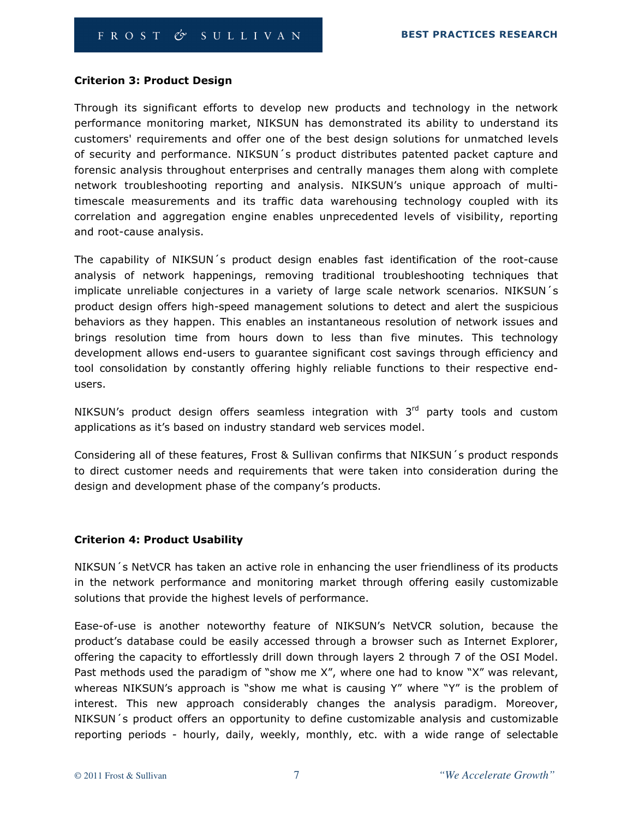#### Criterion 3: Product Design

Through its significant efforts to develop new products and technology in the network performance monitoring market, NIKSUN has demonstrated its ability to understand its customers' requirements and offer one of the best design solutions for unmatched levels of security and performance. NIKSUN´s product distributes patented packet capture and forensic analysis throughout enterprises and centrally manages them along with complete network troubleshooting reporting and analysis. NIKSUN's unique approach of multitimescale measurements and its traffic data warehousing technology coupled with its correlation and aggregation engine enables unprecedented levels of visibility, reporting and root-cause analysis.

The capability of NIKSUN´s product design enables fast identification of the root-cause analysis of network happenings, removing traditional troubleshooting techniques that implicate unreliable conjectures in a variety of large scale network scenarios. NIKSUN´s product design offers high-speed management solutions to detect and alert the suspicious behaviors as they happen. This enables an instantaneous resolution of network issues and brings resolution time from hours down to less than five minutes. This technology development allows end-users to guarantee significant cost savings through efficiency and tool consolidation by constantly offering highly reliable functions to their respective endusers.

NIKSUN's product design offers seamless integration with  $3<sup>rd</sup>$  party tools and custom applications as it's based on industry standard web services model.

Considering all of these features, Frost & Sullivan confirms that NIKSUN´s product responds to direct customer needs and requirements that were taken into consideration during the design and development phase of the company's products.

#### Criterion 4: Product Usability

NIKSUN´s NetVCR has taken an active role in enhancing the user friendliness of its products in the network performance and monitoring market through offering easily customizable solutions that provide the highest levels of performance.

Ease-of-use is another noteworthy feature of NIKSUN's NetVCR solution, because the product's database could be easily accessed through a browser such as Internet Explorer, offering the capacity to effortlessly drill down through layers 2 through 7 of the OSI Model. Past methods used the paradigm of "show me X", where one had to know "X" was relevant, whereas NIKSUN's approach is "show me what is causing Y" where "Y" is the problem of interest. This new approach considerably changes the analysis paradigm. Moreover, NIKSUN´s product offers an opportunity to define customizable analysis and customizable reporting periods - hourly, daily, weekly, monthly, etc. with a wide range of selectable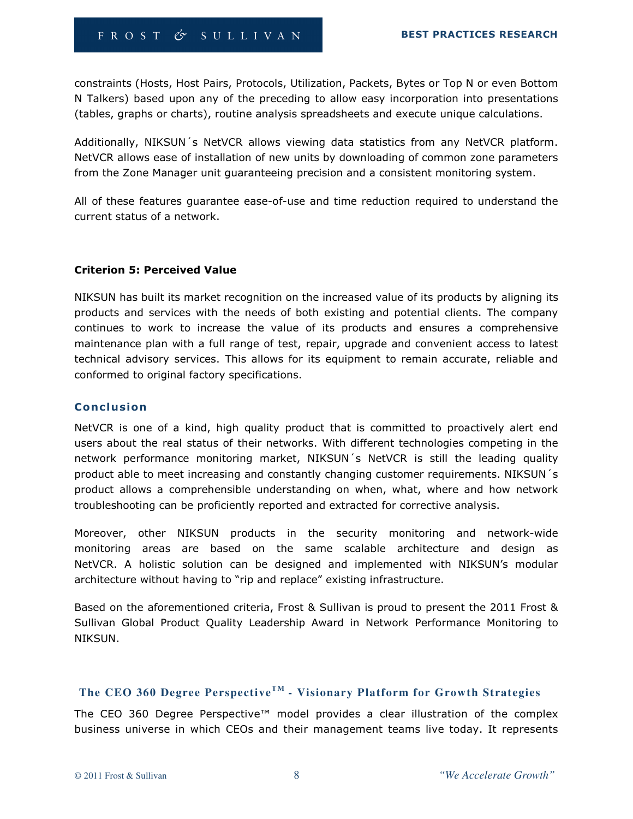constraints (Hosts, Host Pairs, Protocols, Utilization, Packets, Bytes or Top N or even Bottom N Talkers) based upon any of the preceding to allow easy incorporation into presentations (tables, graphs or charts), routine analysis spreadsheets and execute unique calculations.

Additionally, NIKSUN´s NetVCR allows viewing data statistics from any NetVCR platform. NetVCR allows ease of installation of new units by downloading of common zone parameters from the Zone Manager unit guaranteeing precision and a consistent monitoring system.

All of these features guarantee ease-of-use and time reduction required to understand the current status of a network.

#### Criterion 5: Perceived Value

NIKSUN has built its market recognition on the increased value of its products by aligning its products and services with the needs of both existing and potential clients. The company continues to work to increase the value of its products and ensures a comprehensive maintenance plan with a full range of test, repair, upgrade and convenient access to latest technical advisory services. This allows for its equipment to remain accurate, reliable and conformed to original factory specifications.

#### **Conclusion**

NetVCR is one of a kind, high quality product that is committed to proactively alert end users about the real status of their networks. With different technologies competing in the network performance monitoring market, NIKSUN´s NetVCR is still the leading quality product able to meet increasing and constantly changing customer requirements. NIKSUN´s product allows a comprehensible understanding on when, what, where and how network troubleshooting can be proficiently reported and extracted for corrective analysis.

Moreover, other NIKSUN products in the security monitoring and network-wide monitoring areas are based on the same scalable architecture and design as NetVCR. A holistic solution can be designed and implemented with NIKSUN's modular architecture without having to "rip and replace" existing infrastructure.

Based on the aforementioned criteria, Frost & Sullivan is proud to present the 2011 Frost & Sullivan Global Product Quality Leadership Award in Network Performance Monitoring to NIKSUN.

# The CEO 360 Degree Perspective<sup>TM</sup> - Visionary Platform for Growth Strategies

The CEO 360 Degree Perspective™ model provides a clear illustration of the complex business universe in which CEOs and their management teams live today. It represents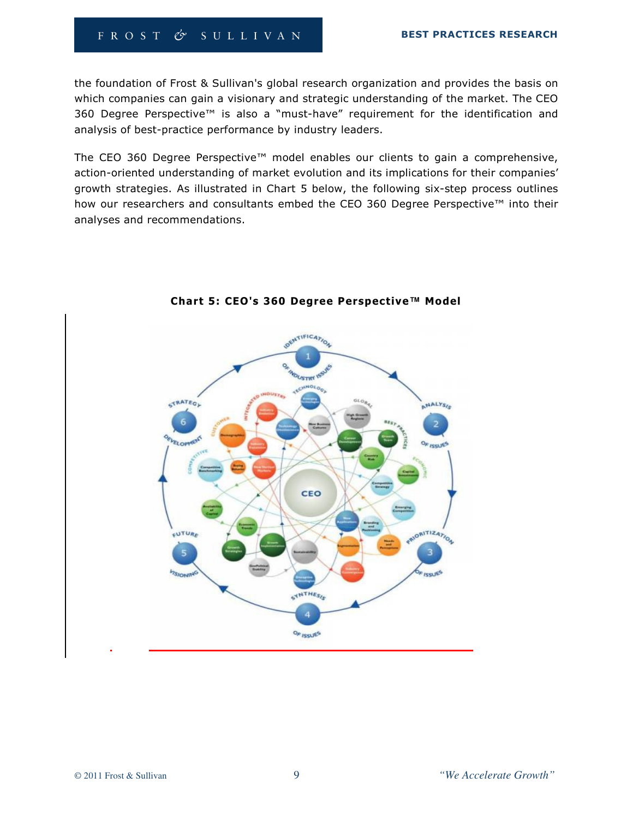## FROST & SULLIVAN

the foundation of Frost & Sullivan's global research organization and provides the basis on which companies can gain a visionary and strategic understanding of the market. The CEO 360 Degree Perspective™ is also a "must-have" requirement for the identification and analysis of best-practice performance by industry leaders.

The CEO 360 Degree Perspective™ model enables our clients to gain a comprehensive, action-oriented understanding of market evolution and its implications for their companies' growth strategies. As illustrated in Chart 5 below, the following six-step process outlines how our researchers and consultants embed the CEO 360 Degree Perspective™ into their analyses and recommendations.



Chart 5: CEO's 360 Degree Perspective**™** Model